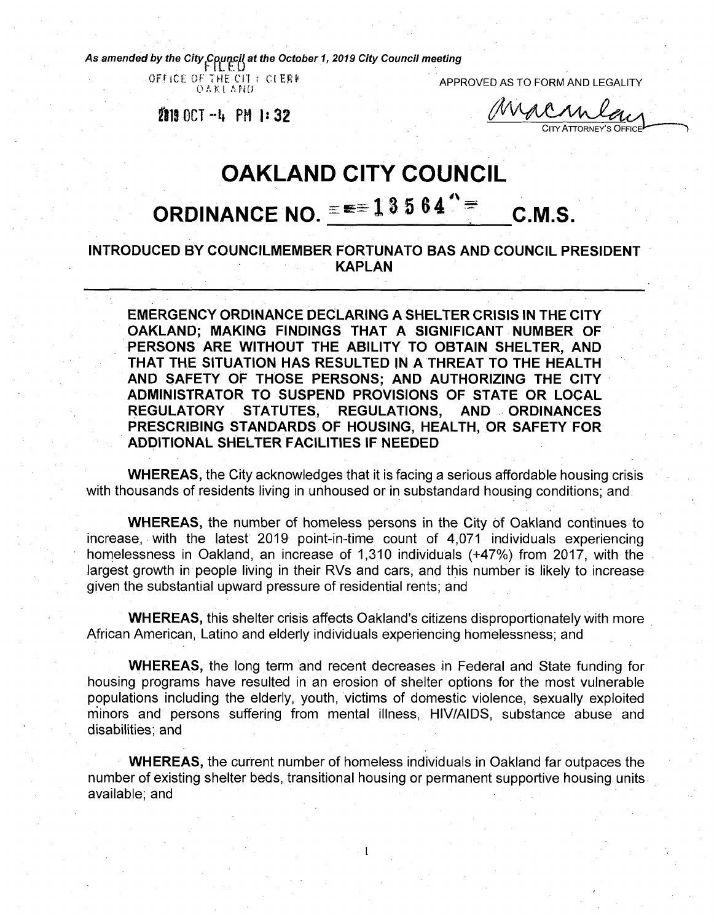*As amended by the City^^c^at the October 1, <sup>2019</sup> City Council meeting*

OFFICE OF THE CIT ? CLERE-<br>OAKLAHO

APPROVED AS TO FORM AND LEGALITY

**911 OCT-it PH |:32**

Macan CITY ATTORNEY'S OFFICE

## **OAKLAND CITY COUNCIL ORDINANCE NO.**  $\equiv$   $\equiv$   $\equiv$  1 3 5 6 4  $\degree$  = c.m.s.

## **INTRODUCED BY COUNCILMEMBER FORTUNATO BAS AND COUNCIL PRESIDENT KAPLAN**

**EMERGENCY ORDINANCE DECLARING A SHELTER CRISIS IN THE CITY OAKLAND; MAKING FINDINGS THAT A SIGNIFICANT NUMBER OF PERSONS ARE WITHOUT THE ABILITY TO OBTAIN SHELTER, AND THAT THE SITUATION HAS RESULTED IN A THREAT TO THE HEALTH AND SAFETY OF THOSE PERSONS; AND AUTHORIZING THE CITY ADMINISTRATOR TO SUSPEND PROVISIONS OF STATE OR LOCAL REGULATORY STATUTES, REGULATIONS, PRESCRIBING STANDARDS OF HOUSING, HEALTH, OR SAFETY FOR ADDITIONAL SHELTER FACILITIES IF NEEDED**

**WHEREAS,** the City acknowledges that it is facing a serious affordable housing crisis with thousands of residents living in unhoused or in substandard housing conditions; and

**WHEREAS,** the number of homeless persons in the City of Oakland continues to increase, with the latest 2019 point-in-time count of 4,071 individuals experiencing homelessness in Oakland, an increase of 1,310 individuals (+47%) from 2017, with the largest growth in people living in their RVs and cars, and this number is likely to increase given the substantial upward pressure of residential rents; and

**WHEREAS,** this shelter crisis affects Oakland's citizens disproportionately with more African American, Latino and elderly individuals experiencing homelessness; and

**WHEREAS,** the long term and recent decreases in Federal and State funding for housing programs have resulted in an erosion of shelter options for the most vulnerable populations including the elderly, youth, victims of domestic violence, sexually exploited minors and persons suffering from mental illness, HIV/AIDS, substance abuse and disabilities; and

**WHEREAS,** the current number of homeless individuals in Oakland far outpaces the number of existing shelter beds, transitional housing or permanent supportive housing units available; and

**l**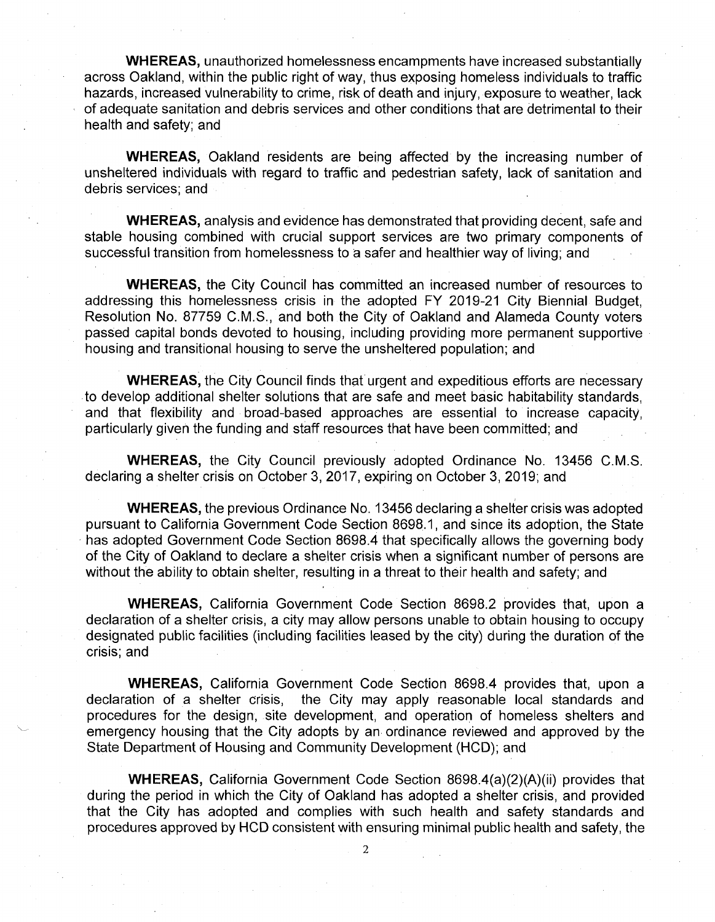**WHEREAS,** unauthorized homelessness encampments have increased substantially across Oakland, within the public right of way, thus exposing homeless individuals to traffic hazards, increased vulnerability to crime, risk of death and injury, exposure to weather, lack of adequate sanitation and debris services and other conditions that are detrimental to their health and safety; and

**WHEREAS,** Oakland residents are being affected by the increasing number of unsheltered individuals with regard to traffic and pedestrian safety, lack of sanitation and debris services; and

**WHEREAS,** analysis and evidence has demonstrated that providing decent, safe and stable housing combined with crucial support services are two primary components of successful transition from homelessness to a safer and healthier way of living; and

**WHEREAS,** the City Council has committed an increased number of resources to addressing this homelessness crisis in the adopted FY 2019-21 City Biennial Budget, Resolution No. 87759 C.M.S., and both the City of Oakland and Alameda County voters passed capital bonds devoted to housing, including providing more permanent supportive housing and transitional housing to serve the unsheltered population; and

**WHEREAS,** the City Council finds that urgent and expeditious efforts are necessary to develop additional shelter solutions that are safe and meet basic habitability standards, and that flexibility and broad-based approaches are essential to increase capacity, particularly given the funding and staff resources that have been committed; and

**WHEREAS,** the City Council previously adopted Ordinance No. 13456 C.M.S. declaring a shelter crisis on October 3, 2017, expiring on October 3, 2019; and

**WHEREAS,** the previous Ordinance No. 13456 declaring a shelter crisis was adopted pursuant to California Government Code Section 8698.1, and since its adoption, the State has adopted Government Code Section 8698.4 that specifically allows the governing body of the City of Oakland to declare a shelter crisis when a significant number of persons are without the ability to obtain shelter, resulting in a threat to their health and safety; and

**WHEREAS,** California Government Code Section 8698.2 provides that, upon a declaration of a shelter crisis, a city may allow persons unable to obtain housing to occupy designated public facilities (including facilities leased by the city) during the duration of the crisis; and

**WHEREAS,** California Government Code Section 8698.4 provides that, upon a declaration of a shelter crisis, the City may apply reasonable local standards and the City may apply reasonable local standards and procedures for the design, site development, and operation of homeless shelters and emergency housing that the City adopts by an ordinance reviewed and approved by the State Department of Housing and Community Development (HCD); and

**WHEREAS,** California Government Code Section 8698.4(a)(2)(A)(ii) provides that during the period in which the City of Oakland has adopted a shelter crisis, and provided that the City has adopted and complies with such health and safety standards and procedures approved by HCD consistent with ensuring minimal public health and safety, the

**2**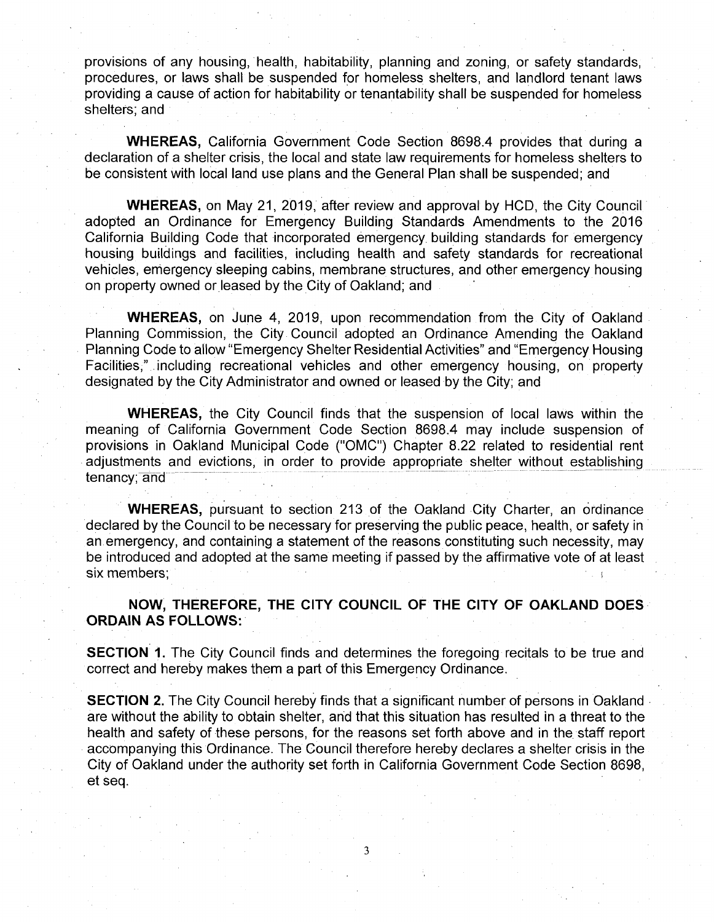provisions of any housing, health, habitability, planning and zoning, or safety standards, procedures, or laws shall be suspended for homeless shelters, and landlord tenant laws providing a cause of action for habitability or tenantability shall be suspended for homeless shelters; and

**WHEREAS,** California Government Code Section 8698.4 provides that during a declaration of a shelter crisis, the local and state law requirements for homeless shelters to be consistent with local land use plans and the General Plan shall be suspended; and

**WHEREAS,** on May 21, 2019, after review and approval by HCD, the City Council adopted an Ordinance for Emergency Building Standards Amendments to the 2016 California Building Code that incorporated emergency building standards for emergency housing buildings and facilities, including health and safety standards for recreational vehicles, emergency sleeping cabins, membrane structures, and other emergency housing on property owned or leased by the City of Oakland; and

**WHEREAS,** on June 4, 2019, upon recommendation from the City of Oakland Planning Commission, the City Council adopted an Ordinance Amending the Oakland Planning Code to allow "Emergency Shelter Residential Activities" and "Emergency Housing Facilities," including recreational vehicles and other emergency housing, on property designated by the City Administrator and owned or leased by the City; and

**WHEREAS,** the City Council finds that the suspension of local laws within the meaning of California Government Code Section 8698.4 may include suspension of provisions in Oakland Municipal Code ("OMC") Chapter 8.22 related to residential rent adjustments and evictions, in order to provide appropriate shelter without establishing tenancy; and

**WHEREAS,** pursuant to section 213 of the Oakland City Charter, an ordinance declared by the Council to be necessary for preserving the public peace, health, or safety in an emergency, and containing a statement of the reasons constituting such necessity, may be introduced and adopted at the same meeting if passed by the affirmative vote of at least six members;

NOW, THEREFORE, THE CITY COUNCIL OF THE CITY OF OAKLAND DOES ORDAIN AS FOLLOWS:

**SECTION 1.** The City Council finds and determines the foregoing recitals to be true and correct and hereby makes them a part of this Emergency Ordinance.

**SECTION 2.** The City Council hereby finds that a significant number of persons in Oakland are without the ability to obtain shelter, and that this situation has resulted in a threat to the health and safety of these persons, for the reasons set forth above and in the staff report accompanying this Ordinance. The Council therefore hereby declares a shelter crisis in the City of Oakland under the authority set forth in California Government Code Section 8698, et seq.

**3**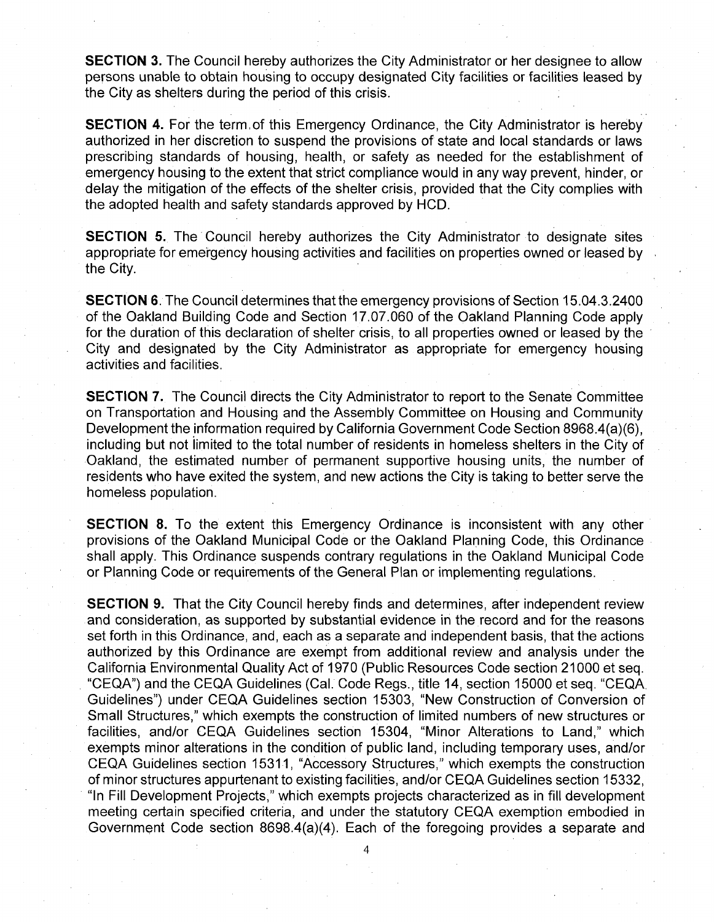**SECTION 3.** The Council hereby authorizes the City Administrator or her designee to allow persons unable to obtain housing to occupy designated City facilities or facilities leased by the City as shelters during the period of this crisis.

**SECTION 4.** For the term of this Emergency Ordinance, the City Administrator is hereby authorized in her discretion to suspend the provisions of state and local standards or laws prescribing standards of housing, health, or safety as needed for the establishment of emergency housing to the extent that strict compliance would in any way prevent, hinder, or delay the mitigation of the effects of the shelter crisis, provided that the City complies with the adopted health and safety standards approved by HCD.

**SECTION 5.** The Council hereby authorizes the City Administrator to designate sites appropriate for emergency housing activities and facilities on properties owned or leased by the City.

**SECTION 6.** The Council determines that the emergency provisions of Section 15.04.3.2400 of the Oakland Building Code and Section 17.07.060 of the Oakland Planning Code apply for the duration of this declaration of shelter crisis, to all properties owned or leased by the City and designated by the City Administrator as appropriate for emergency housing activities and facilities.

**SECTION 7.** The Council directs the City Administrator to report to the Senate Committee on Transportation and Housing and the Assembly Committee on Housing and Community Development the information required by California Government Code Section 8968.4(a)(6), including but not limited to the total number of residents in homeless shelters in the City of Oakland, the estimated number of permanent supportive housing units, the number of residents who have exited the system, and new actions the City is taking to better serve the homeless population.

**SECTION 8.** To the extent this Emergency Ordinance is inconsistent with any other provisions of the Oakland Municipal Code or the Oakland Planning Code, this Ordinance shall apply. This Ordinance suspends contrary regulations in the Oakland Municipal Code or Planning Code or requirements of the General Plan or implementing regulations.

**SECTION 9.** That the City Council hereby finds and determines, after independent review and consideration, as supported by substantial evidence in the record and for the reasons set forth in this Ordinance, and, each as a separate and independent basis, that the actions authorized by this Ordinance are exempt from additional review and analysis under the California Environmental Quality Act of 1970 (Public Resources Code section 21000 et seq. "CEQA") and the CEQA Guidelines (Cal. Code Regs., title 14, section 15000 et seq. "CEQA Guidelines") under CEQA Guidelines section 15303, "New Construction of Conversion of Small Structures," which exempts the construction of limited numbers of new structures or facilities, and/or CEQA Guidelines section 15304, "Minor Alterations to Land," which exempts minor alterations in the condition of public land, including temporary uses, and/or CEQA Guidelines section 15311, "Accessory Structures," which exempts the construction of minor structures appurtenant to existing facilities, and/or CEQA Guidelines section 15332, "In Fill Development Projects," which exempts projects characterized as in fill development meeting certain specified criteria, and under the statutory CEQA exemption embodied in Government Code section 8698.4(a)(4). Each of the foregoing provides a separate and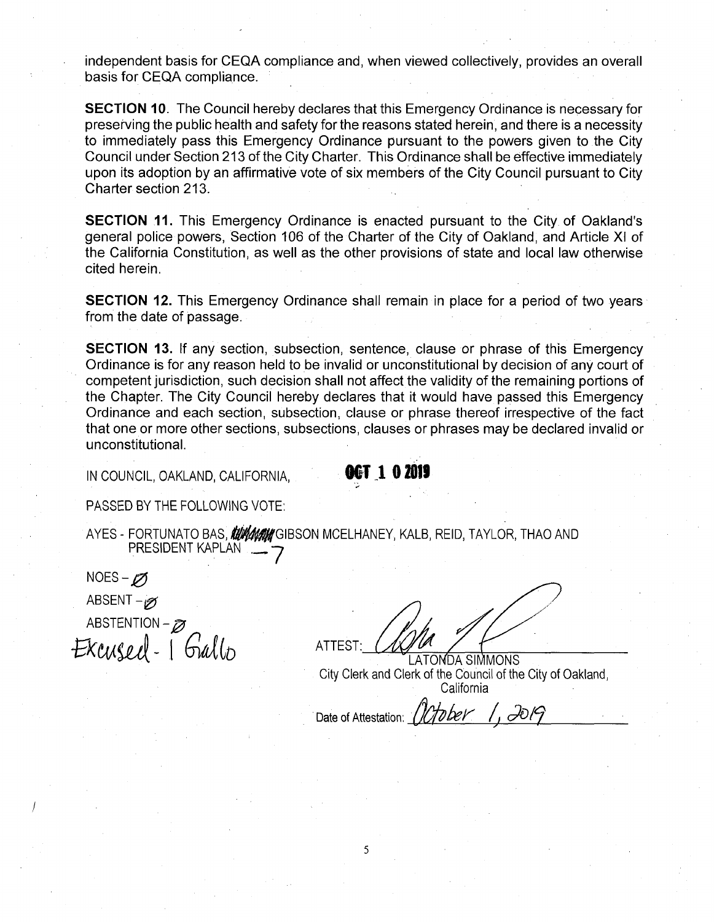independent basis for CEQA compliance and, when viewed collectively, provides an overall basis for CEQA compliance.

**SECTION 10.** The Council hereby declares that this Emergency Ordinance is necessary for preserving the public health and safety for the reasons stated herein, and there is a necessity to immediately pass this Emergency Ordinance pursuant to the powers given to the City Council under Section 213 of the City Charter. This Ordinance shall be effective immediately upon its adoption by an affirmative vote of six members of the City Council pursuant to City Charter section 213.

**SECTION 11.** This Emergency Ordinance is enacted pursuant to the City of Oakland's general police powers, Section 106 of the Charter of the City of Oakland, and Article XI of the California Constitution, as well as the other provisions of state and local law otherwise cited herein.

**SECTION 12.** This Emergency Ordinance shall remain in place for a period of two years from the date of passage.

**SECTION 13.** If any section, subsection, sentence, clause or phrase of this Emergency Ordinance is for any reason held to be invalid or unconstitutional by decision of any court of competent jurisdiction, such decision shall not affect the validity of the remaining portions of the Chapter. The City Council hereby declares that it would have passed this Emergency Ordinance and each section, subsection, clause or phrase thereof irrespective of the fact that one or more other sections, subsections, clauses or phrases may be declared invalid or unconstitutional.

IN COUNCIL, OAKLAND, CALIFORNIA, **ALLAND, MILL COUNCIL** 

PASSED BY THE FOLLOWING VOTE:

AYES - <u>FORTUNATO BAS,</u> *MUNIMI* GIBSON MCELHANEY, KALB, KEID, TAYLOR, THAO AND PRESIDENT KAPLAN . **-7**

NOES – p<sub>2</sub> ABSENT - **0** ABSTENTION - **0** - <sup>I</sup> *mUr>* ATTEST:

**/**

**LATONDA SIMMONS** City Clerk and Clerk of the Council of the City of Oakland, California

Hober 1 1. IOPT Date of Attestation: